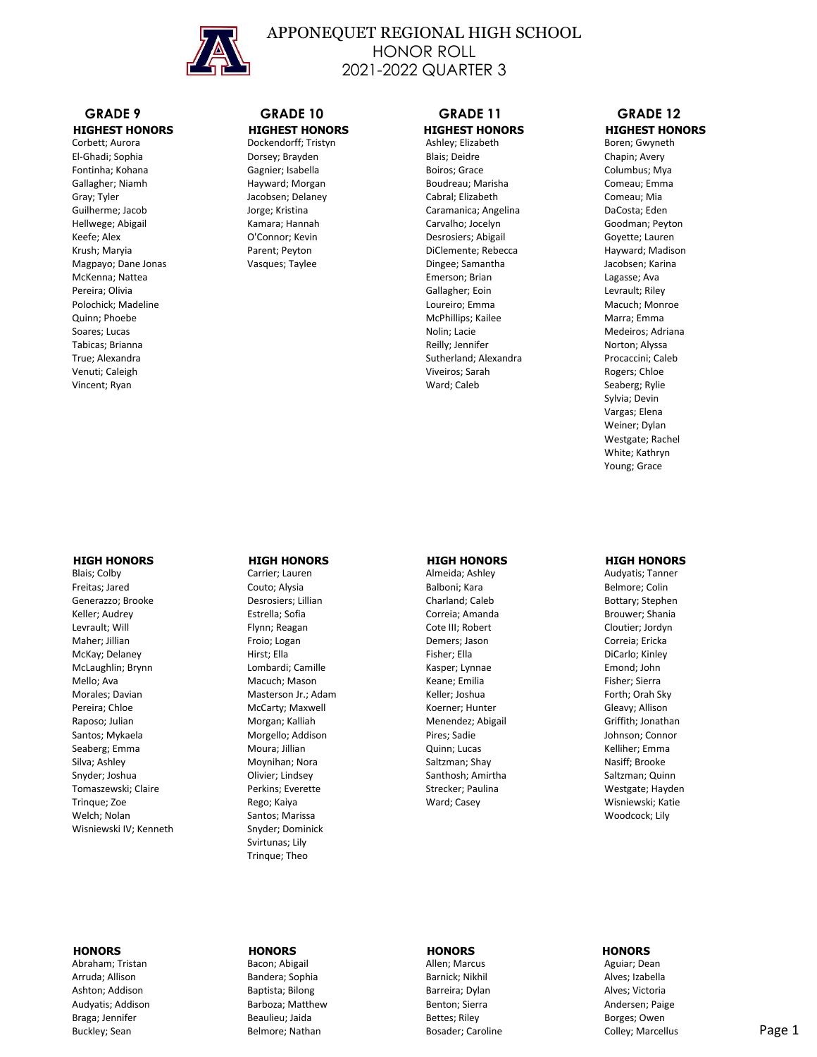

# APPONEQUET REGIONAL HIGH SCHOOL HONOR ROLL 2021-2022 QUARTER 3

# **GRADE 9 GRADE 10 GRADE 11 GRADE 12**

# **THIGHEST HONORS HIGHEST HONORS HIGHEST HONORS HIGHEST HONORS** Corbett; Aurora **HIGHEST HONORS** Corbett; Aurora **Boren; Gwyneth**

Corbett; Aurora **Borton Borton Borton Borton Borton**: Corbett; Aurora Boren; Gwyneth El-Ghadi; Sophia Dorsey; Brayden Blais; Deidre Chapin; Avery Fontinha; Kohana **Gagnier; Isabella** Boiros; Grace Columbus; Mya Gallagher; Niamh **Hayward; Morgan Boudreau; Marisha** Comeau; Emma Gray; Tyler Comeau; Mia Cabral; Delaney Cabral; Elizabeth Comeau; Mia Comeau; Mia Guilherme; Jacob Jorge; Kristina Caramanica; Angelina DaCosta; Eden Hellwege; Abigail Kamara; Hannah Carvalho; Jocelyn Goodman; Peyton Keefe; Alex **Connor; Kevin** D'Connor; Kevin Desrosiers; Abigail Goyette; Lauren Krush; Maryia **Edit areas and Tarent; Peyton Parent**; Peyton DiClemente; Rebecca **Hayward**; Madison Magpayo; Dane Jonas Vasques; Taylee Dingee; Samantha Jacobsen; Karina McKenna; Nattea Emerson; Brian Lagasse; Ava Pereira; Olivia Gallagher; Eoin Levrault; Riley Polochick; Madeline Loureiro; Emma Macuch; Monroe Quinn; Phoebe Marra; Emma McPhillips; Kailee Marra; Emma McPhillips; Kailee Marra; Emma Marra; Emma Soares; Lucas **No. 2006** Medeiros; Adriana Nolin; Lacie **No. 2006** Medeiros; Adriana Nolin; Lacie **Medeiros**; Adriana Tabicas; Brianna Norton; Alyssa Channel Reilly; Jennifer Norton; Alyssa Norton; Alyssa Norton; Alyssa Norton; Alyssa True; Alexandra **Sutherland; Alexandra Procaccini**; Caleb Venuti; Caleigh **Viveiros; Sarah Rogers; Chloe** Viveiros; Sarah Rogers; Chloe Vincent; Ryan Seaberg; Rylie Seaberg; Rylie Seaberg; Rylie Seaberg; Rylie Seaberg; Rylie Seaberg; Rylie Seaberg; Rylie Seaberg; Rylie Seaberg; Rylie Seaberg; Rylie Seaberg; Rylie Seaberg; Rylie Seaberg; Rylie Seaberg; Ryli

 Sylvia; Devin Vargas; Elena Weiner; Dylan Westgate; Rachel White; Kathryn Young; Grace

Blais; Colby **Carrier; Lauren Access Active Almeida**; Ashley Audyatis; Tanner Audyatis; Tanner Freitas; Jared **Couto; Alysia** Couto; Alysia Balboni; Kara Belmore; Colin Generazzo; Brooke Desrosiers; Lillian Charland; Caleb Bottary; Stephen Keller; Audrey **Estrella; Sofia** Correia; Amanda Brouwer; Shania Correia; Amanda Levrault; Will **Election: Election: Flynn; Reagan** Cote III; Robert Cloutier; Jordyn Maher; Jillian **Exercits: Communist Communist Communist Communist Correia; Ericka** Demers; Jason Correia; Ericka McKay; Delaney **Example 20 Example 20 Hirst; Ella** Fisher; Ella Fisher; Ella **Fisher; Ella** DiCarlo; Kinley McLaughlin; Brynn **McLaughlin; Brynn** Lombardi; Camille **Kasper; Lynnae** Emond; John Mello; Ava Macuch; Mason Keane; Emilia Fisher; Sierra Morales; Davian **Masterson Jr.; Adam** Keller; Joshua Forth; Orah Sky Pereira; Chloe **McCarty; Maxwell Gleavy; Allison** Koerner; Hunter Gleavy; Allison Raposo; Julian Morgan; Kalliah Menendez; Abigail Griffith; Jonathan Santos; Mykaela **Morgello; Addison** Pires; Sadie **Presision** Johnson; Connor Seaberg; Emma Moura; Jillian Quinn; Lucas Kelliher; Emma Silva; Ashley **Moynihan; Nora** Moynihan; Nora Saltzman; Shay Snyder; Joshua Saltzman; Quinn Colivier; Lindsey Santhosh; Amirtha Saltzman; Quinn Saltzman; Quinn Tomaszewski; Claire **Netwins: Everette Strecker; Paulina** Perkins; Everette Strecker; Paulina Perkins; Everette Strecker; Paulina Trinque; Zoe Rego; Kaiya Ward; Casey Wisniewski; Katie Welch; Nolan North Channels: Marissa Santos; Marissa Woodcock; Lily Wisniewski IV; Kenneth Snyder; Dominick

 Svirtunas; Lily Trinque; Theo

### **HIGH HONORS HIGH HONORS HIGH HONORS HIGH HONORS**

### **HONORS HONORS HONORS HONORS**

Abraham; Tristan Bacon; Abigail Allen; Marcus Aguiar; Dean

 Arruda; Allison Bandera; Sophia Barnick; Nikhil Alves; Izabella Ashton; Addison Baptista; Bilong Barreira; Dylan Alves; Victoria Audyatis; Addison **Barboza; Matthew Benton; Sierra** Benton; Sierra Andersen; Paige Braga; Jennifer **Beaulieu; Jaida** Beaulieu; Jaida Bettes; Riley Borges; Owen Buckley; Sean **Belmore; Nathan Bosader; Caroline** Bosader; Caroline Colley; Marcellus